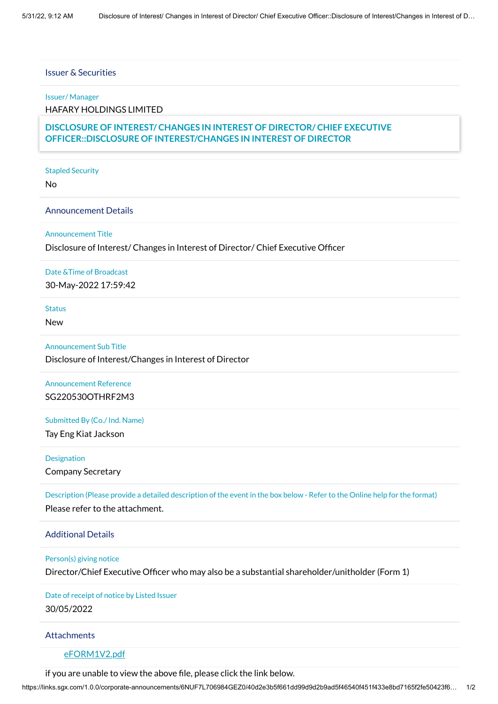# Issuer & Securities

### Issuer/ Manager

HAFARY HOLDINGS LIMITED

# Securities **OFFICER::DISCLOSURE OF INTEREST/CHANGES IN INTEREST OF DIRECTOR DISCLOSURE OF INTEREST/ CHANGES IN INTEREST OF DIRECTOR/ CHIEF EXECUTIVE**

#### Stapled Security

No

#### Announcement Details

### Announcement Title

### Disclosure of Interest/ Changes in Interest of Director/ Chief Executive Officer

# Date &Time of Broadcast

30-May-2022 17:59:42

## Status

New

# Announcement Sub Title

Disclosure of Interest/Changes in Interest of Director

# Announcement Reference SG220530OTHRF2M3

### Submitted By (Co./ Ind. Name)

Tay Eng Kiat Jackson

### Designation

Company Secretary

Description (Please provide a detailed description of the event in the box below - Refer to the Online help for the format) Please refer to the attachment.

# Additional Details

#### Person(s) giving notice

Director/Chief Executive Officer who may also be a substantial shareholder/unitholder (Form 1)

# Date of receipt of notice by Listed Issuer 30/05/2022

### **Attachments**

# [eFORM1V2.pdf](https://links.sgx.com/1.0.0/corporate-announcements/6NUF7L706984GEZ0/719148_eFORM1V2.pdf)

if you are unable to view the above file, please click the link below.

https://links.sgx.com/1.0.0/corporate-announcements/6NUF7L706984GEZ0/40d2e3b5f661dd99d9d2b9ad5f46540f451f433e8bd7165f2fe50423f6… 1/2